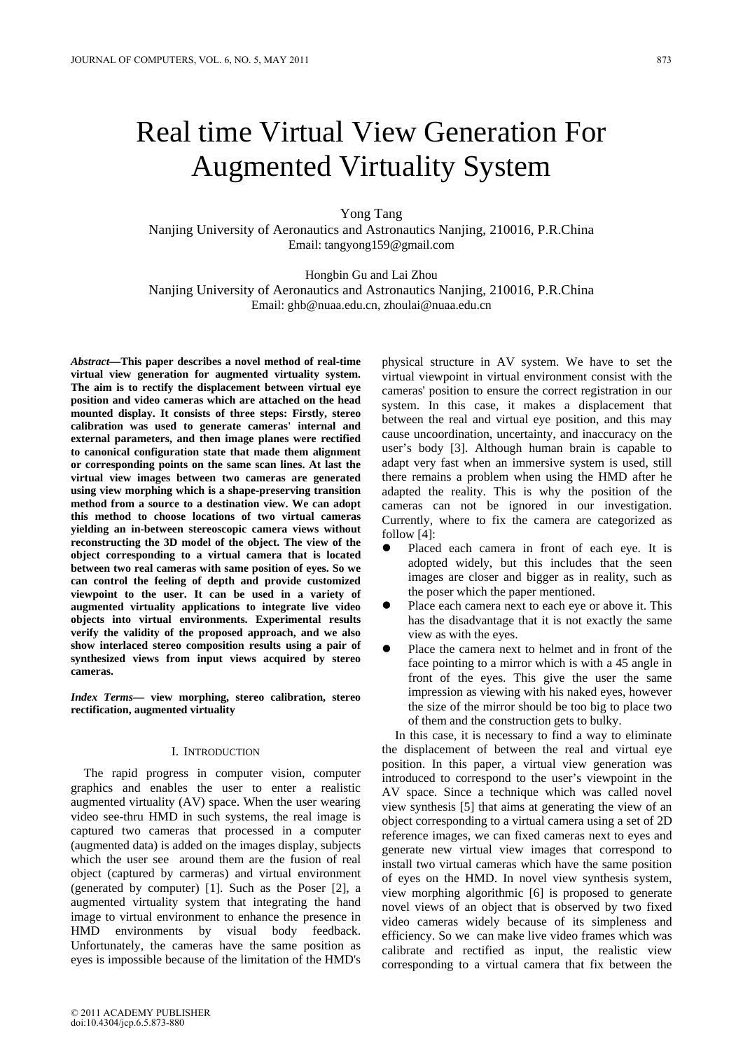# Real time Virtual View Generation For Augmented Virtuality System

Yong Tang

Nanjing University of Aeronautics and Astronautics Nanjing, 210016, P.R.China Email: tangyong159@gmail.com

Hongbin Gu and Lai Zhou

Nanjing University of Aeronautics and Astronautics Nanjing, 210016, P.R.China Email: ghb@nuaa.edu.cn, zhoulai@nuaa.edu.cn

*Abstract***—This paper describes a novel method of real-time virtual view generation for augmented virtuality system. The aim is to rectify the displacement between virtual eye position and video cameras which are attached on the head mounted display. It consists of three steps: Firstly, stereo calibration was used to generate cameras' internal and external parameters, and then image planes were rectified to canonical configuration state that made them alignment or corresponding points on the same scan lines. At last the virtual view images between two cameras are generated using view morphing which is a shape-preserving transition method from a source to a destination view. We can adopt this method to choose locations of two virtual cameras yielding an in-between stereoscopic camera views without reconstructing the 3D model of the object. The view of the object corresponding to a virtual camera that is located between two real cameras with same position of eyes. So we can control the feeling of depth and provide customized viewpoint to the user. It can be used in a variety of augmented virtuality applications to integrate live video objects into virtual environments. Experimental results verify the validity of the proposed approach, and we also show interlaced stereo composition results using a pair of synthesized views from input views acquired by stereo cameras.** 

*Index Terms***— view morphing, stereo calibration, stereo rectification, augmented virtuality** 

#### I. INTRODUCTION

The rapid progress in computer vision, computer graphics and enables the user to enter a realistic augmented virtuality (AV) space. When the user wearing video see-thru HMD in such systems, the real image is captured two cameras that processed in a computer (augmented data) is added on the images display, subjects which the user see around them are the fusion of real object (captured by carmeras) and virtual environment (generated by computer) [1]. Such as the Poser [2], a augmented virtuality system that integrating the hand image to virtual environment to enhance the presence in HMD environments by visual body feedback. Unfortunately, the cameras have the same position as eyes is impossible because of the limitation of the HMD's

physical structure in AV system. We have to set the virtual viewpoint in virtual environment consist with the cameras' position to ensure the correct registration in our system. In this case, it makes a displacement that between the real and virtual eye position, and this may cause uncoordination, uncertainty, and inaccuracy on the user's body [3]. Although human brain is capable to adapt very fast when an immersive system is used, still there remains a problem when using the HMD after he adapted the reality. This is why the position of the cameras can not be ignored in our investigation. Currently, where to fix the camera are categorized as follow [4]:

- Placed each camera in front of each eye. It is adopted widely, but this includes that the seen images are closer and bigger as in reality, such as the poser which the paper mentioned.
- Place each camera next to each eye or above it. This has the disadvantage that it is not exactly the same view as with the eyes.
- Place the camera next to helmet and in front of the face pointing to a mirror which is with a 45 angle in front of the eyes. This give the user the same impression as viewing with his naked eyes, however the size of the mirror should be too big to place two of them and the construction gets to bulky.

In this case, it is necessary to find a way to eliminate the displacement of between the real and virtual eye position. In this paper, a virtual view generation was introduced to correspond to the user's viewpoint in the AV space. Since a technique which was called novel view synthesis [5] that aims at generating the view of an object corresponding to a virtual camera using a set of 2D reference images, we can fixed cameras next to eyes and generate new virtual view images that correspond to install two virtual cameras which have the same position of eyes on the HMD. In novel view synthesis system, view morphing algorithmic [6] is proposed to generate novel views of an object that is observed by two fixed video cameras widely because of its simpleness and efficiency. So we can make live video frames which was calibrate and rectified as input, the realistic view corresponding to a virtual camera that fix between the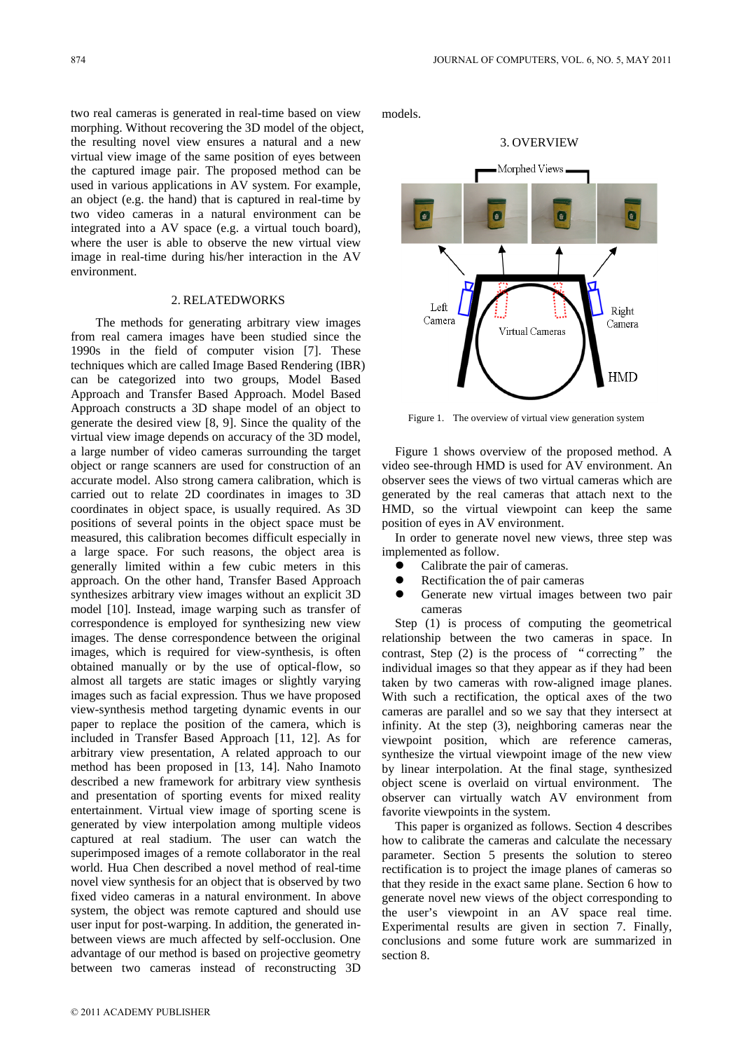two real cameras is generated in real-time based on view morphing. Without recovering the 3D model of the object, the resulting novel view ensures a natural and a new virtual view image of the same position of eyes between the captured image pair. The proposed method can be used in various applications in AV system. For example, an object (e.g. the hand) that is captured in real-time by two video cameras in a natural environment can be integrated into a AV space (e.g. a virtual touch board), where the user is able to observe the new virtual view image in real-time during his/her interaction in the AV environment.

# 2. RELATEDWORKS

The methods for generating arbitrary view images from real camera images have been studied since the 1990s in the field of computer vision [7]. These techniques which are called Image Based Rendering (IBR) can be categorized into two groups, Model Based Approach and Transfer Based Approach. Model Based Approach constructs a 3D shape model of an object to generate the desired view [8, 9]. Since the quality of the virtual view image depends on accuracy of the 3D model, a large number of video cameras surrounding the target object or range scanners are used for construction of an accurate model. Also strong camera calibration, which is carried out to relate 2D coordinates in images to 3D coordinates in object space, is usually required. As 3D positions of several points in the object space must be measured, this calibration becomes difficult especially in a large space. For such reasons, the object area is generally limited within a few cubic meters in this approach. On the other hand, Transfer Based Approach synthesizes arbitrary view images without an explicit 3D model [10]. Instead, image warping such as transfer of correspondence is employed for synthesizing new view images. The dense correspondence between the original images, which is required for view-synthesis, is often obtained manually or by the use of optical-flow, so almost all targets are static images or slightly varying images such as facial expression. Thus we have proposed view-synthesis method targeting dynamic events in our paper to replace the position of the camera, which is included in Transfer Based Approach [11, 12]. As for arbitrary view presentation, A related approach to our method has been proposed in [13, 14]. Naho Inamoto described a new framework for arbitrary view synthesis and presentation of sporting events for mixed reality entertainment. Virtual view image of sporting scene is generated by view interpolation among multiple videos captured at real stadium. The user can watch the superimposed images of a remote collaborator in the real world. Hua Chen described a novel method of real-time novel view synthesis for an object that is observed by two fixed video cameras in a natural environment. In above system, the object was remote captured and should use user input for post-warping. In addition, the generated inbetween views are much affected by self-occlusion. One advantage of our method is based on projective geometry between two cameras instead of reconstructing 3D

models.



Figure 1. The overview of virtual view generation system

Figure 1 shows overview of the proposed method. A video see-through HMD is used for AV environment. An observer sees the views of two virtual cameras which are generated by the real cameras that attach next to the HMD, so the virtual viewpoint can keep the same position of eyes in AV environment.

In order to generate novel new views, three step was implemented as follow.

- Calibrate the pair of cameras.
- Rectification the of pair cameras
- Generate new virtual images between two pair cameras

Step (1) is process of computing the geometrical relationship between the two cameras in space. In contrast, Step (2) is the process of "correcting" the individual images so that they appear as if they had been taken by two cameras with row-aligned image planes. With such a rectification, the optical axes of the two cameras are parallel and so we say that they intersect at infinity. At the step (3), neighboring cameras near the viewpoint position, which are reference cameras, synthesize the virtual viewpoint image of the new view by linear interpolation. At the final stage, synthesized object scene is overlaid on virtual environment. The observer can virtually watch AV environment from favorite viewpoints in the system.

This paper is organized as follows. Section 4 describes how to calibrate the cameras and calculate the necessary parameter. Section 5 presents the solution to stereo rectification is to project the image planes of cameras so that they reside in the exact same plane. Section 6 how to generate novel new views of the object corresponding to the user's viewpoint in an AV space real time. Experimental results are given in section 7. Finally, conclusions and some future work are summarized in section 8.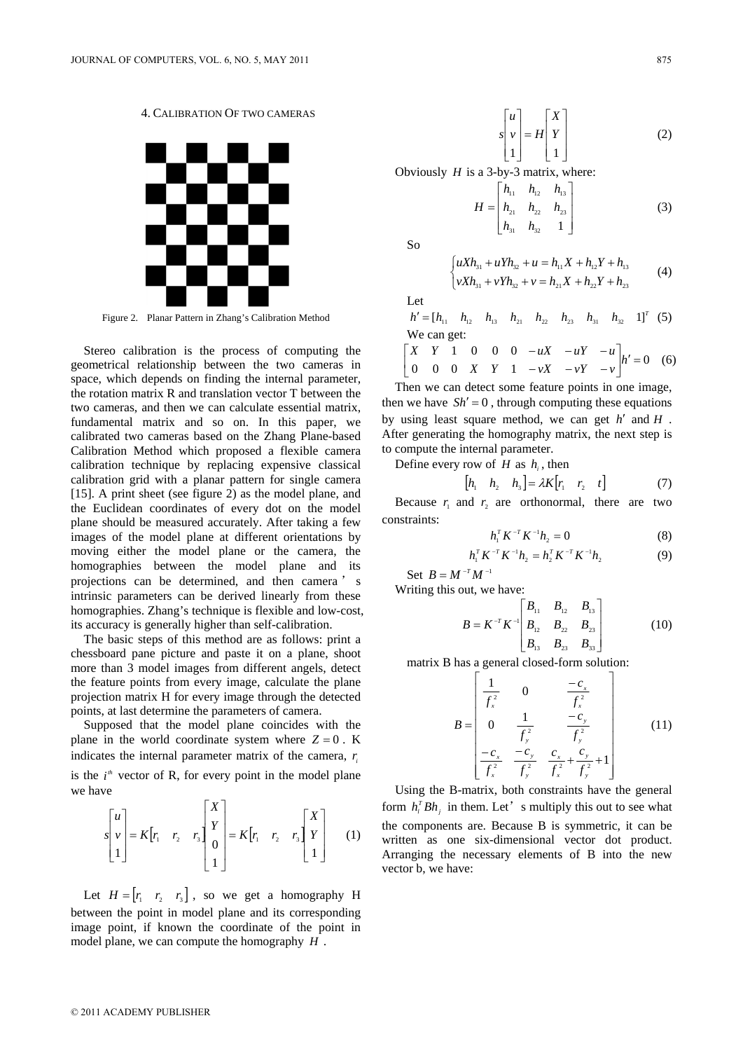4. CALIBRATION OF TWO CAMERAS



Figure 2. Planar Pattern in Zhang's Calibration Method

Stereo calibration is the process of computing the geometrical relationship between the two cameras in space, which depends on finding the internal parameter, the rotation matrix R and translation vector T between the two cameras, and then we can calculate essential matrix, fundamental matrix and so on. In this paper, we calibrated two cameras based on the Zhang Plane-based Calibration Method which proposed a flexible camera calibration technique by replacing expensive classical calibration grid with a planar pattern for single camera [15]. A print sheet (see figure 2) as the model plane, and the Euclidean coordinates of every dot on the model plane should be measured accurately. After taking a few images of the model plane at different orientations by moving either the model plane or the camera, the homographies between the model plane and its projections can be determined, and then camera ' s intrinsic parameters can be derived linearly from these homographies. Zhang's technique is flexible and low-cost, its accuracy is generally higher than self-calibration.

The basic steps of this method are as follows: print a chessboard pane picture and paste it on a plane, shoot more than 3 model images from different angels, detect the feature points from every image, calculate the plane projection matrix H for every image through the detected points, at last determine the parameters of camera.

Supposed that the model plane coincides with the plane in the world coordinate system where  $Z = 0$ . K indicates the internal parameter matrix of the camera,  $r_i$ is the  $i^{\#}$  vector of R, for every point in the model plane we have

$$
s\begin{bmatrix} u \\ v \\ 1 \end{bmatrix} = K\begin{bmatrix} r_1 & r_2 & r_3 \end{bmatrix} \begin{bmatrix} X \\ Y \\ 0 \\ 1 \end{bmatrix} = K\begin{bmatrix} r_1 & r_2 & r_3 \end{bmatrix} \begin{bmatrix} X \\ Y \\ 1 \end{bmatrix}
$$
 (1)

Let  $H = \begin{bmatrix} r_1 & r_2 & r_3 \end{bmatrix}$ , so we get a homography H between the point in model plane and its corresponding image point, if known the coordinate of the point in model plane, we can compute the homography *H* .

$$
s \begin{bmatrix} u \\ v \\ 1 \end{bmatrix} = H \begin{bmatrix} X \\ Y \\ 1 \end{bmatrix}
$$
 (2)

Obviously *H* is a 3-by-3 matrix, where:

$$
H = \begin{bmatrix} h_{11} & h_{12} & h_{13} \\ h_{21} & h_{22} & h_{23} \\ h_{31} & h_{32} & 1 \end{bmatrix}
$$
 (3)

So

$$
\begin{cases}\nuxh_{31} + uYh_{32} + u = h_{11}X + h_{12}Y + h_{13} \\
vxh_{31} + vYh_{32} + v = h_{21}X + h_{22}Y + h_{23}\n\end{cases}
$$
\n(4)

Let

$$
h' = [h_{11} \quad h_{12} \quad h_{13} \quad h_{21} \quad h_{22} \quad h_{23} \quad h_{31} \quad h_{32} \quad 1]^{T} \tag{5}
$$
  
We can get:

$$
\begin{bmatrix} X & Y & 1 & 0 & 0 & 0 & -uX & -uY & -u \\ 0 & 0 & 0 & X & Y & 1 & -vX & -vY & -v \end{bmatrix} h' = 0 \quad (6)
$$

Then we can detect some feature points in one image, then we have  $Sh' = 0$ , through computing these equations by using least square method, we can get *h* ′ and *H* . After generating the homography matrix, the next step is to compute the internal parameter.

Define every row of  $H$  as  $h_i$ , then

$$
\begin{bmatrix} h_1 & h_2 & h_3 \end{bmatrix} = \lambda K \begin{bmatrix} r_1 & r_2 & t \end{bmatrix} \tag{7}
$$

Because  $r_1$  and  $r_2$  are orthonormal, there are two constraints:

$$
h_1^T K^{-T} K^{-1} h_2 = 0 \tag{8}
$$

$$
h_1^T K^{-T} K^{-1} h_2 = h_2^T K^{-T} K^{-1} h_2 \tag{9}
$$

Set  $B = M^{-T}M^{-1}$ Writing this out, we have:

$$
B = K^{-T} K^{-1} \begin{bmatrix} B_{11} & B_{12} & B_{13} \\ B_{12} & B_{22} & B_{23} \end{bmatrix}
$$
 (10)

$$
B = \Lambda \quad \Lambda \quad \begin{bmatrix} B_{12} & B_{22} & B_{23} \\ B_{13} & B_{23} & B_{33} \end{bmatrix} \tag{10}
$$

matrix B has a general closed-form solution:

$$
B = \begin{bmatrix} \frac{1}{f_x^2} & 0 & \frac{-c_x}{f_x^2} \\ 0 & \frac{1}{f_y^2} & \frac{-c_y}{f_y^2} \\ \frac{-c_x}{f_x^2} & \frac{-c_y}{f_y^2} & \frac{c_x}{f_x^2} + \frac{c_y}{f_y^2} + 1 \end{bmatrix}
$$
(11)

Using the B-matrix, both constraints have the general form  $h_i^T Bh_j$  in them. Let' s multiply this out to see what the components are. Because B is symmetric, it can be written as one six-dimensional vector dot product. Arranging the necessary elements of B into the new vector b, we have: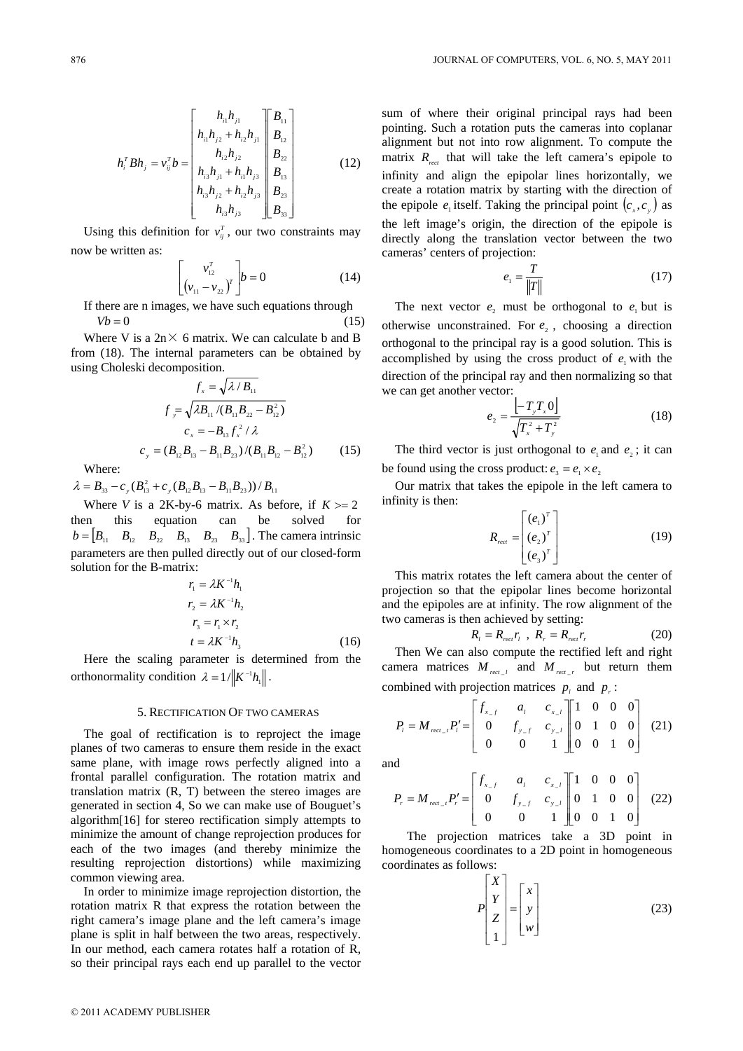$$
h_i^T B h_j = v_{ij}^T b = \begin{bmatrix} h_{i1} h_{j1} & B_{i1} \\ h_{i1} h_{j2} + h_{i2} h_{j1} & B_{i2} \\ h_{i2} h_{j2} & B_{i2} \\ h_{i3} h_{j1} + h_{i1} h_{j3} & B_{i3} \\ h_{i3} h_{j2} + h_{i2} h_{j3} & B_{i3} \end{bmatrix}
$$
 (12)

Using this definition for  $v_{ij}^T$ , our two constraints may now be written as:

$$
\begin{bmatrix} v_{12}^T \\ (v_{11} - v_{22})^T \end{bmatrix} b = 0 \tag{14}
$$

If there are n images, we have such equations through  $Vb = 0$  (15)

Where V is a  $2n \times 6$  matrix. We can calculate b and B from (18). The internal parameters can be obtained by using Choleski decomposition.

$$
f_x = \sqrt{\lambda/B_{11}}
$$
  

$$
f_y = \sqrt{\lambda B_{11}/(B_{11}B_{22} - B_{12}^2)}
$$
  

$$
c_x = -B_{13}f_x^2/\lambda
$$
  

$$
c_y = (B_{12}B_{13} - B_{11}B_{23})/(B_{11}B_{12} - B_{12}^2)
$$
 (15)

Where:

 $\lambda = B_{33} - c_{y} (B_{13}^2 + c_{y} (B_{12}B_{13} - B_{11}B_{23})) / B_{11}$ 

Where *V* is a 2K-by-6 matrix. As before, if  $K \ge 2$ then this equation can be solved for  $b = [B_{11} \quad B_{12} \quad B_{22} \quad B_{13} \quad B_{23} \quad B_{33}]$ . The camera intrinsic parameters are then pulled directly out of our closed-form solution for the B-matrix:

$$
r_1 = \lambda K^{-1} h_1
$$
  
\n
$$
r_2 = \lambda K^{-1} h_2
$$
  
\n
$$
r_3 = r_1 \times r_2
$$
  
\n
$$
t = \lambda K^{-1} h_3
$$
  
\n(16)

Here the scaling parameter is determined from the orthonormality condition  $\lambda = 1 / ||K^{-1}h_{1}||$ .

#### 5. RECTIFICATION OF TWO CAMERAS

The goal of rectification is to reproject the image planes of two cameras to ensure them reside in the exact same plane, with image rows perfectly aligned into a frontal parallel configuration. The rotation matrix and translation matrix (R, T) between the stereo images are generated in section 4, So we can make use of Bouguet's algorithm[16] for stereo rectification simply attempts to minimize the amount of change reprojection produces for each of the two images (and thereby minimize the resulting reprojection distortions) while maximizing common viewing area.

In order to minimize image reprojection distortion, the rotation matrix R that express the rotation between the right camera's image plane and the left camera's image plane is split in half between the two areas, respectively. In our method, each camera rotates half a rotation of R, so their principal rays each end up parallel to the vector sum of where their original principal rays had been pointing. Such a rotation puts the cameras into coplanar alignment but not into row alignment. To compute the matrix  $R_{\text{rect}}$  that will take the left camera's epipole to infinity and align the epipolar lines horizontally, we create a rotation matrix by starting with the direction of the epipole  $e_i$  itself. Taking the principal point  $(e_x, e_y)$  as the left image's origin, the direction of the epipole is directly along the translation vector between the two cameras' centers of projection:

$$
e_{i} = \frac{T}{\|T\|} \tag{17}
$$

The next vector  $e_2$  must be orthogonal to  $e_1$  but is otherwise unconstrained. For  $e_2$ , choosing a direction orthogonal to the principal ray is a good solution. This is accomplished by using the cross product of  $e_1$  with the direction of the principal ray and then normalizing so that we can get another vector:

$$
e_{2} = \frac{\left[-T_{y}T_{x}0\right]}{\sqrt{T_{x}^{2} + T_{y}^{2}}}
$$
\n(18)

The third vector is just orthogonal to  $e_1$  and  $e_2$ ; it can be found using the cross product:  $e_3 = e_1 \times e_2$ 

Our matrix that takes the epipole in the left camera to infinity is then:

$$
R_{\text{rect}} = \begin{bmatrix} (e_1)^T \\ (e_2)^T \\ (e_3)^T \end{bmatrix}
$$
 (19)

 projection so that the epipolar lines become horizontal This matrix rotates the left camera about the center of and the epipoles are at infinity. The row alignment of the two cameras is then achieved by setting:

$$
R_{\scriptscriptstyle l} = R_{\scriptscriptstyle rect} r_{\scriptscriptstyle l} \ \ , \ R_{\scriptscriptstyle r} = R_{\scriptscriptstyle rect} r_{\scriptscriptstyle r} \tag{20}
$$

Then We can also compute the rectified left and right camera matrices  $M_{rect\_l}$  and  $M_{rect\_r}$  but return them combined with projection matrices  $p_i$  and  $p_r$ :

$$
P_{l} = M_{rect_{-l}}P'_{l} = \begin{bmatrix} f_{x_{-l}} & a_{l} & c_{x_{-l}} \\ 0 & f_{y_{-l}} & c_{y_{-l}} \\ 0 & 0 & 1 \end{bmatrix} \begin{bmatrix} 1 & 0 & 0 & 0 \\ 0 & 1 & 0 & 0 \\ 0 & 0 & 1 & 0 \end{bmatrix}
$$
 (21)

and

$$
P_r = M_{rect\_t} P'_r = \begin{bmatrix} f_{x\_f} & a_i & c_{x\_t} \\ 0 & f_{y\_f} & c_{y\_t} \\ 0 & 0 & 1 \end{bmatrix} \begin{bmatrix} 1 & 0 & 0 & 0 \\ 0 & 1 & 0 & 0 \\ 0 & 0 & 1 & 0 \end{bmatrix}
$$
 (22)

The projection matrices take a 3D point in homogeneous coordinates to a 2D point in homogeneous coordinates as follows:

$$
P\begin{bmatrix} X \\ Y \\ Z \\ 1 \end{bmatrix} = \begin{bmatrix} x \\ y \\ w \end{bmatrix}
$$
 (23)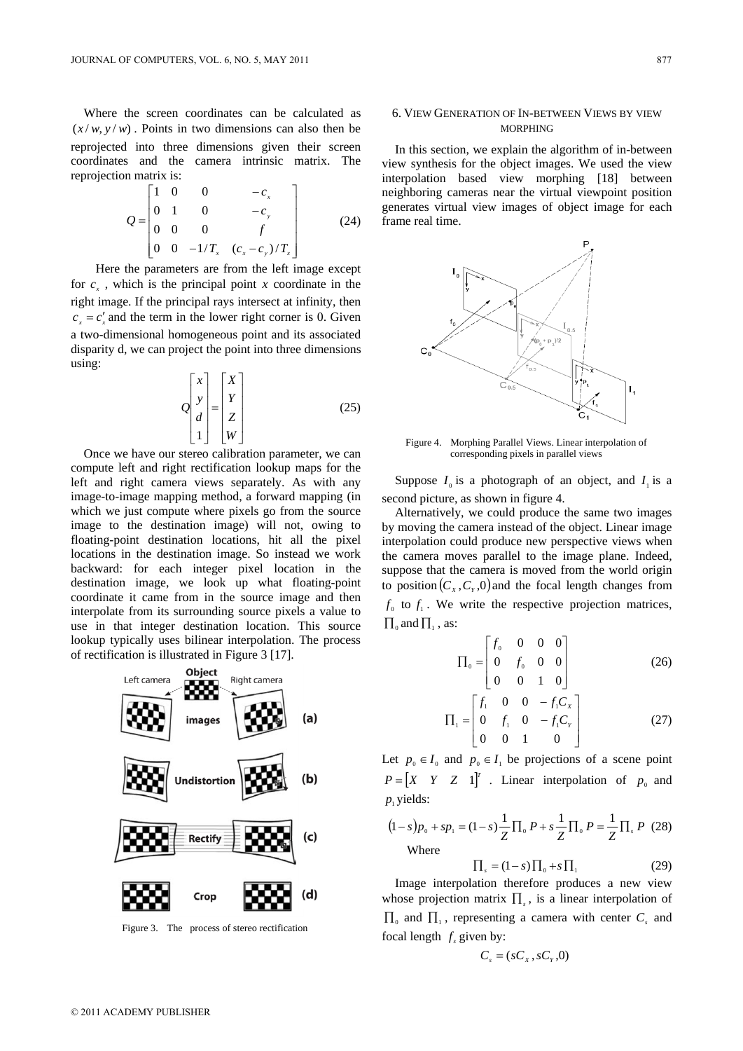Where the screen coordinates can be calculated as  $(x/w, y/w)$ . Points in two dimensions can also then be reprojected into three dimensions given their screen coordinates and the camera intrinsic matrix. The reprojection matrix is:

$$
Q = \begin{bmatrix} 1 & 0 & 0 & -c_x \\ 0 & 1 & 0 & -c_y \\ 0 & 0 & 0 & f \\ 0 & 0 & -1/T_x & (c_x - c_y)/T_x \end{bmatrix}
$$
 (24)

Here the parameters are from the left image except for  $c<sub>x</sub>$ , which is the principal point *x* coordinate in the right image. If the principal rays intersect at infinity, then  $c_x = c'_x$  and the term in the lower right corner is 0. Given a two-dimensional homogeneous point and its associated disparity d, we can project the point into three dimensions using:

$$
Q\begin{bmatrix} x \\ y \\ d \\ 1 \end{bmatrix} = \begin{bmatrix} X \\ Y \\ Z \\ W \end{bmatrix}
$$
 (25)

Once we have our stereo calibration parameter, we can compute left and right rectification lookup maps for the left and right camera views separately. As with any image-to-image mapping method, a forward mapping (in which we just compute where pixels go from the source image to the destination image) will not, owing to floating-point destination locations, hit all the pixel locations in the destination image. So instead we work backward: for each integer pixel location in the destination image, we look up what floating-point coordinate it came from in the source image and then interpolate from its surrounding source pixels a value to use in that integer destination location. This source lookup typically uses bilinear interpolation. The process of rectification is illustrated in Figure 3 [17].



Figure 3. The process of stereo rectification

# 6. VIEW GENERATION OF IN-BETWEEN VIEWS BY VIEW MORPHING

In this section, we explain the algorithm of in-between view synthesis for the object images. We used the view interpolation based view morphing [18] between neighboring cameras near the virtual viewpoint position generates virtual view images of object image for each frame real time.



Figure 4. Morphing Parallel Views. Linear interpolation of corresponding pixels in parallel views

Suppose  $I_0$  is a photograph of an object, and  $I_1$  is a second picture, as shown in figure 4.

Alternatively, we could produce the same two images by moving the camera instead of the object. Linear image interpolation could produce new perspective views when the camera moves parallel to the image plane. Indeed, suppose that the camera is moved from the world origin to position  $(C_x, C_y, 0)$  and the focal length changes from  $f_0$  to  $f_1$ . We write the respective projection matrices,  $\Pi_0$  and  $\Pi_1$ , as:

$$
\Pi_0 = \begin{bmatrix} f_0 & 0 & 0 & 0 \\ 0 & f_0 & 0 & 0 \\ 0 & 0 & 1 & 0 \end{bmatrix}
$$
 (26)

$$
\Pi_1 = \begin{bmatrix} f_1 & 0 & 0 & -f_1 C_x \\ 0 & f_1 & 0 & -f_1 C_y \\ 0 & 0 & 1 & 0 \end{bmatrix}
$$
 (27)

Let  $p_0 \in I_0$  and  $p_0 \in I_1$  be projections of a scene point  $P = \begin{bmatrix} X & Y & Z & 1 \end{bmatrix}^T$  . Linear interpolation of  $p_0$  and  $p_1$  yields:

$$
(1-s)p_0 + sp_1 = (1-s)\frac{1}{Z}\prod_0 P + s\frac{1}{Z}\prod_0 P = \frac{1}{Z}\prod_s P
$$
 (28)  
Where

$$
\Pi_s = (1 - s) \Pi_0 + s \Pi_1 \tag{29}
$$

Image interpolation therefore produces a new view whose projection matrix  $\Pi_s$ , is a linear interpolation of  $\Pi_{0}$  and  $\Pi_{1}$ , representing a camera with center  $C_{s}$  and focal length  $f_s$  given by:

$$
C_s = (sC_x, sC_y, 0)
$$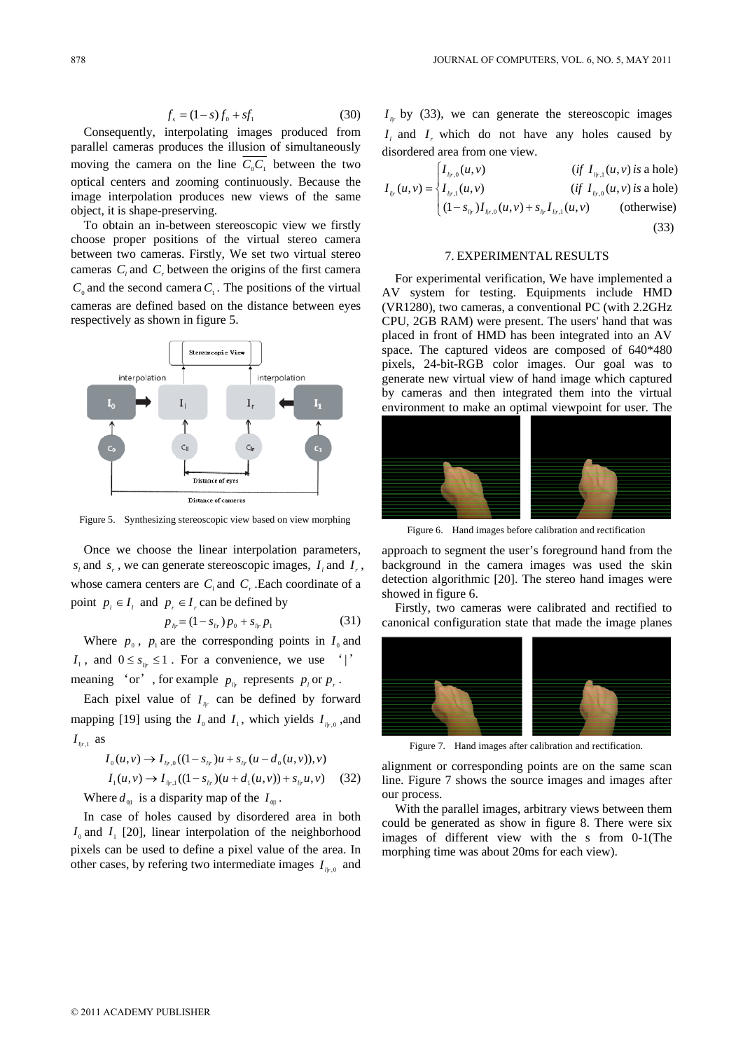$$
f_s = (1 - s)f_0 + sf_1 \tag{30}
$$

Consequently, interpolating images produced from parallel cameras produces the illusion of simultaneously moving the camera on the line  $C_0C_1$  between the two optical centers and zooming continuously. Because the image interpolation produces new views of the same object, it is shape-preserving.

To obtain an in-between stereoscopic view we firstly choose proper positions of the virtual stereo camera between two cameras. Firstly, We set two virtual stereo cameras  $C_i$  and  $C_r$  between the origins of the first camera  $C_0$  and the second camera  $C_1$ . The positions of the virtual cameras are defined based on the distance between eyes respectively as shown in figure 5.



Figure 5. Synthesizing stereoscopic view based on view morphing

Once we choose the linear interpolation parameters,  $s_i$  and  $s_r$ , we can generate stereoscopic images,  $I_i$  and  $I_r$ , whose camera centers are  $C_i$  and  $C_r$ . Each coordinate of a point  $p_i \in I_i$  and  $p_r \in I_r$  can be defined by

$$
p_{\eta_r} = (1 - s_{\eta_r}) p_0 + s_{\eta_r} p_1 \tag{31}
$$

Where  $p_0$ ,  $p_1$  are the corresponding points in  $I_0$  and  $I_1$ , and  $0 \leq s_{I_r} \leq 1$ . For a convenience, we use '|' meaning 'or', for example  $p_{i}$  represents  $p_i$  or  $p_i$ .

Each pixel value of  $I_{\mu}$  can be defined by forward mapping [19] using the  $I_0$  and  $I_1$ , which yields  $I_{I_{l,r,0}}$ , and  $I_{\mathit{Irr},1}$  as

$$
I_0(u, v) \to I_{\eta_r,0}((1 - s_{\eta_r})u + s_{\eta_r}(u - d_0(u, v)), v)
$$
  

$$
I_1(u, v) \to I_{\eta_r,1}((1 - s_{\eta_r})(u + d_1(u, v)) + s_{\eta_r}u, v)
$$
 (32)

Where  $d_{\alpha i}$  is a disparity map of the  $I_{\alpha i}$ .

In case of holes caused by disordered area in both  $I_0$  and  $I_1$  [20], linear interpolation of the neighborhood pixels can be used to define a pixel value of the area. In other cases, by refering two intermediate images  $I_{\eta_{r,0}}$  and

 $I_{I_{ir}}$  by (33), we can generate the stereoscopic images  $I_i$  and  $I_r$  which do not have any holes caused by disordered area from one view.

$$
I_{\eta_r}(u,v) = \begin{cases} I_{\eta_{r,0}}(u,v) & (if I_{\eta_{r,1}}(u,v) \text{ is a hole}) \\ I_{\eta_{r,1}}(u,v) & (if I_{\eta_{r,0}}(u,v) \text{ is a hole}) \\ (1-s_{\eta_r})I_{\eta_{r,0}}(u,v) + s_{\eta_r}I_{\eta_{r,1}}(u,v) & (otherwise) \end{cases}
$$
(33)

# 7. EXPERIMENTAL RESULTS

For experimental verification, We have implemented a AV system for testing. Equipments include HMD (VR1280), two cameras, a conventional PC (with 2.2GHz CPU, 2GB RAM) were present. The users' hand that was placed in front of HMD has been integrated into an AV space. The captured videos are composed of 640\*480 pixels, 24-bit-RGB color images. Our goal was to generate new virtual view of hand image which captured by cameras and then integrated them into the virtual environment to make an optimal viewpoint for user. The



Figure 6. Hand images before calibration and rectification

approach to segment the user's foreground hand from the background in the camera images was used the skin detection algorithmic [20]. The stereo hand images were showed in figure 6.

Firstly, two cameras were calibrated and rectified to canonical configuration state that made the image planes



Figure 7. Hand images after calibration and rectification.

alignment or corresponding points are on the same scan line. Figure 7 shows the source images and images after our process.

With the parallel images, arbitrary views between them could be generated as show in figure 8. There were six images of different view with the s from 0-1(The morphing time was about 20ms for each view).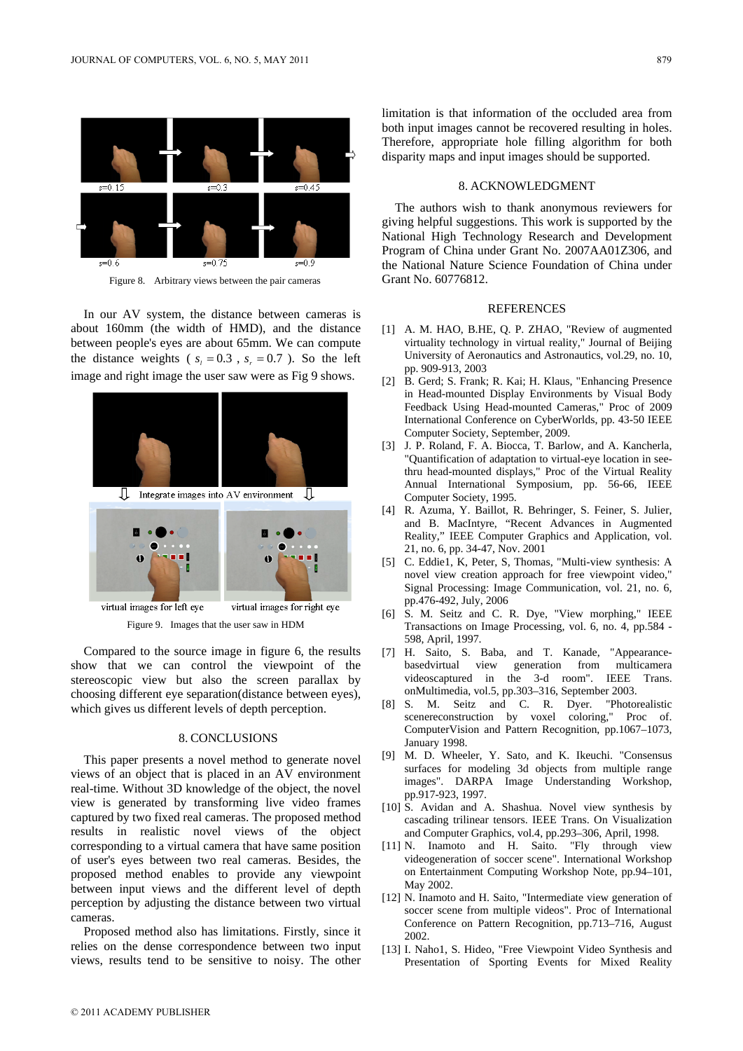

Figure 8. Arbitrary views between the pair cameras

In our AV system, the distance between cameras is about 160mm (the width of HMD), and the distance between people's eyes are about 65mm. We can compute the distance weights ( $s_i = 0.3$ ,  $s_r = 0.7$ ). So the left image and right image the user saw were as Fig 9 shows.



Figure 9. Images that the user saw in HDM

Compared to the source image in figure 6, the results show that we can control the viewpoint of the stereoscopic view but also the screen parallax by choosing different eye separation(distance between eyes), which gives us different levels of depth perception.

#### 8. CONCLUSIONS

This paper presents a novel method to generate novel views of an object that is placed in an AV environment real-time. Without 3D knowledge of the object, the novel view is generated by transforming live video frames captured by two fixed real cameras. The proposed method results in realistic novel views of the object corresponding to a virtual camera that have same position of user's eyes between two real cameras. Besides, the proposed method enables to provide any viewpoint between input views and the different level of depth perception by adjusting the distance between two virtual cameras.

Proposed method also has limitations. Firstly, since it relies on the dense correspondence between two input views, results tend to be sensitive to noisy. The other

limitation is that information of the occluded area from both input images cannot be recovered resulting in holes. Therefore, appropriate hole filling algorithm for both disparity maps and input images should be supported.

# 8. ACKNOWLEDGMENT

The authors wish to thank anonymous reviewers for giving helpful suggestions. This work is supported by the National High Technology Research and Development Program of China under Grant No. 2007AA01Z306, and the National Nature Science Foundation of China under Grant No. 60776812.

#### **REFERENCES**

- [1] A. M. HAO, B.HE, Q. P. ZHAO, "Review of augmented virtuality technology in virtual reality," Journal of Beijing University of Aeronautics and Astronautics, vol.29, no. 10, pp. 909-913, 2003
- [2] B. Gerd; S. Frank; R. Kai; H. Klaus, "Enhancing Presence in Head-mounted Display Environments by Visual Body Feedback Using Head-mounted Cameras," Proc of 2009 International Conference on CyberWorlds, pp. 43-50 IEEE Computer Society, September, 2009.
- [3] J. P. Roland, F. A. Biocca, T. Barlow, and A. Kancherla, "Quantification of adaptation to virtual-eye location in seethru head-mounted displays," Proc of the Virtual Reality Annual International Symposium, pp. 56-66, IEEE Computer Society, 1995.
- [4] R. Azuma, Y. Baillot, R. Behringer, S. Feiner, S. Julier, and B. MacIntyre, "Recent Advances in Augmented Reality," IEEE Computer Graphics and Application, vol. 21, no. 6, pp. 34-47, Nov. 2001
- [5] C. Eddie1, K, Peter, S, Thomas, "Multi-view synthesis: A novel view creation approach for free viewpoint video," Signal Processing: Image Communication, vol. 21, no. 6, pp.476-492, July, 2006
- [6] S. M. Seitz and C. R. Dye, "View morphing," IEEE Transactions on Image Processing, vol. 6, no. 4, pp.584 - 598, April, 1997.
- [7] H. Saito, S. Baba, and T. Kanade, "Appearancebasedvirtual view generation from multicamera videoscaptured in the 3-d room". IEEE Trans. onMultimedia, vol.5, pp.303–316, September 2003.
- [8] S. M. Seitz and C. R. Dyer. "Photorealistic scenereconstruction by voxel coloring," Proc of. ComputerVision and Pattern Recognition, pp.1067–1073, January 1998.
- [9] M. D. Wheeler, Y. Sato, and K. Ikeuchi. "Consensus surfaces for modeling 3d objects from multiple range images". DARPA Image Understanding Workshop, pp.917-923, 1997.
- [10] S. Avidan and A. Shashua. Novel view synthesis by cascading trilinear tensors. IEEE Trans. On Visualization and Computer Graphics, vol.4, pp.293–306, April, 1998.
- [11] N. Inamoto and H. Saito. "Fly through view videogeneration of soccer scene". International Workshop on Entertainment Computing Workshop Note, pp.94–101, May 2002.
- [12] N. Inamoto and H. Saito, "Intermediate view generation of soccer scene from multiple videos". Proc of International Conference on Pattern Recognition, pp.713–716, August 2002.
- [13] I. Naho1, S. Hideo, "Free Viewpoint Video Synthesis and Presentation of Sporting Events for Mixed Reality